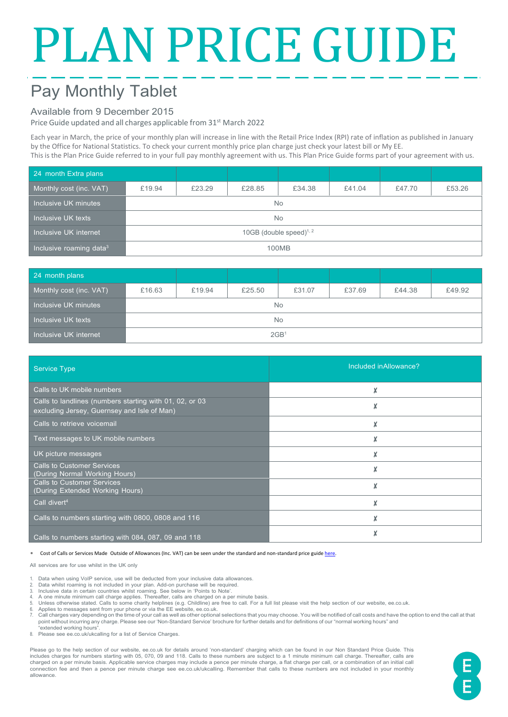# PLAN PRICE GUIDE

# Pay Monthly Tablet

### Available from 9 December 2015

Price Guide updated and all charges applicable from 31<sup>st</sup> March 2022

Each year in March, the price of your monthly plan will increase in line with the Retail Price Index (RPI) rate of inflation as published in January by the Office for National Statistics. To check your current monthly price plan charge just check your latest bill or My EE. This is the Plan Price Guide referred to in your full pay monthly agreement with us. This Plan Price Guide forms part of your agreement with us.

| 24 month Extra plans                |                            |        |        |        |        |        |        |
|-------------------------------------|----------------------------|--------|--------|--------|--------|--------|--------|
| Monthly cost (inc. VAT)             | £19.94                     | £23.29 | £28.85 | £34.38 | £41.04 | £47.70 | £53.26 |
| Inclusive UK minutes                | <b>No</b>                  |        |        |        |        |        |        |
| Inclusive UK texts                  | <b>No</b>                  |        |        |        |        |        |        |
| Inclusive UK internet               | 10GB (double speed) $1, 2$ |        |        |        |        |        |        |
| Inclusive roaming data <sup>3</sup> | 100MB                      |        |        |        |        |        |        |

| 24 month plans          |                  |        |        |        |        |        |        |
|-------------------------|------------------|--------|--------|--------|--------|--------|--------|
| Monthly cost (inc. VAT) | £16.63           | £19.94 | £25.50 | £31.07 | £37.69 | £44.38 | £49.92 |
| Inclusive UK minutes    | No               |        |        |        |        |        |        |
| Inclusive UK texts      | No               |        |        |        |        |        |        |
| Inclusive UK internet   | 2GB <sup>1</sup> |        |        |        |        |        |        |

| <b>Service Type</b>                                                                                    | Included in Allowance? |
|--------------------------------------------------------------------------------------------------------|------------------------|
| Calls to UK mobile numbers                                                                             | X                      |
| Calls to landlines (numbers starting with 01, 02, or 03<br>excluding Jersey, Guernsey and Isle of Man) |                        |
| Calls to retrieve voicemail                                                                            |                        |
| Text messages to UK mobile numbers                                                                     |                        |
| UK picture messages                                                                                    | X                      |
| <b>Calls to Customer Services</b><br>(During Normal Working Hours)                                     | X                      |
| <b>Calls to Customer Services</b><br>(During Extended Working Hours)                                   |                        |
| Call divert <sup>4</sup>                                                                               | X                      |
| Calls to numbers starting with 0800, 0808 and 116                                                      |                        |
| Calls to numbers starting with 084, 087, 09 and 118                                                    |                        |

∗ Cost of Calls or Services Made Outside of Allowances (Inc. VAT) can be seen under the standard and non-standard price guid[e here.](https://ee.co.uk/help/help-new/price-plans/mobile/pay-monthly-price-plans)

All services are for use whilst in the UK only

- 1. Data when using VoIP service, use will be deducted from your inclusive data allowances.<br>2. Data whilst roaming is not included in your plan. Add-on purchase will be required
- 2. Data whilst roaming is not included in your plan. Add-on purchase will be required. 3. Inclusive data in certain countries whilst roaming. See below in 'Points to Note'.
- 
- 4. A one minute minimum call charge applies. Thereafter, calls are charged on a per minute basis.<br>5. Unless otherwise stated. Calls to some charity helplines (e.g. Childline) are free to call. For a full list please vi
- 6. Applies to messages sent from your phone or via the EE website, ee.co.uk.
- 7. Call charges vary depending on the time of your call as well as other optional selections that you may choose. You will be notified of call costs and have the option to end the call at that point without incurring any charge. Please see our 'Non-Standard Service' brochure for further details and for definitions of our "normal working hours" and extended working hours'
- 8. Please see ee.co.uk/ukcalling for a list of Service Charges.

Please go to the help section of our website, ee.co.uk for details around 'non-standard' charging which can be found in our Non Standard Price Guide. This includes charges for numbers starting with 05, 070, 09 and 118. Calls to these numbers are subject to a 1 minute minimum call charge. Thereafter, calls are<br>charged on a per minute basis. Applicable service charges may incl connection fee and then a pence per minute charge see ee.co.uk/ukcalling. Remember that calls to these numbers are not included in your monthly allowance.